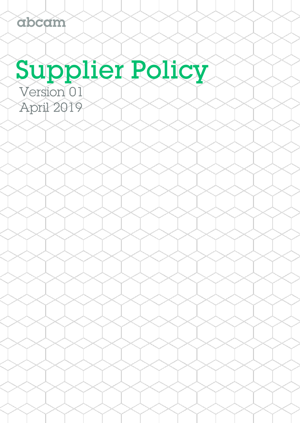# Supplier Policy

Version 01 April 2019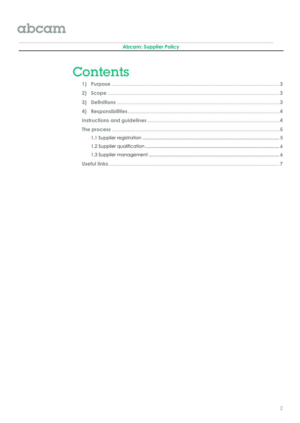#### **Abcam: Supplier Policy**

### **Contents**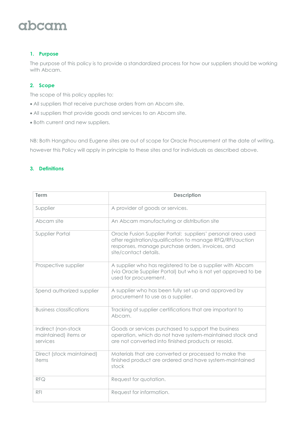#### **1. Purpose**

The purpose of this policy is to provide a standardized process for how our suppliers should be working with Abcam.

#### **2. Scope**

The scope of this policy applies to:

- All suppliers that receive purchase orders from an Abcam site.
- All suppliers that provide goods and services to an Abcam site.
- Both current and new suppliers.

NB: Both Hangzhou and Eugene sites are out of scope for Oracle Procurement at the date of writing, however this Policy will apply in principle to these sites and for individuals as described above.

#### **3. Definitions**

| <b>Term</b>                                             | <b>Description</b>                                                                                                                                                                                      |
|---------------------------------------------------------|---------------------------------------------------------------------------------------------------------------------------------------------------------------------------------------------------------|
| Supplier                                                | A provider of goods or services.                                                                                                                                                                        |
| Abcam site                                              | An Abcam manufacturing or distribution site                                                                                                                                                             |
| Supplier Portal                                         | Oracle Fusion Supplier Portal: suppliers' personal area used<br>after registration/qualification to manage RFQ/RFI/auction<br>responses, manage purchase orders, invoices, and<br>site/contact details. |
| Prospective supplier                                    | A supplier who has registered to be a supplier with Abcam<br>(via Oracle Supplier Portal) but who is not yet approved to be<br>used for procurement.                                                    |
| Spend authorized supplier                               | A supplier who has been fully set up and approved by<br>procurement to use as a supplier.                                                                                                               |
| <b>Business classifications</b>                         | Tracking of supplier certifications that are important to<br>Abcam.                                                                                                                                     |
| Indirect (non-stock<br>maintained) items or<br>services | Goods or services purchased to support the business<br>operation, which do not have system-maintained stock and<br>are not converted into finished products or resold.                                  |
| Direct (stock maintained)<br>items                      | Materials that are converted or processed to make the<br>finished product are ordered and have system-maintained<br>stock                                                                               |
| <b>RFQ</b>                                              | Request for quotation.                                                                                                                                                                                  |
| <b>RFI</b>                                              | Request for information.                                                                                                                                                                                |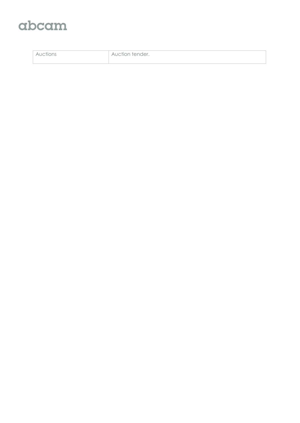| nder<br>Δ<br>⊺⊆ar<br>$\cdots$ |
|-------------------------------|
|                               |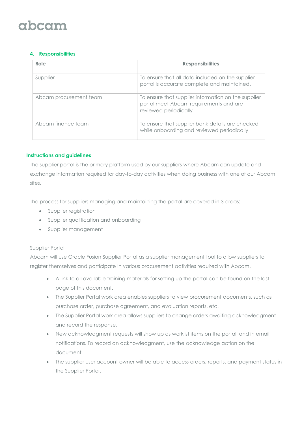# ahcam

#### **4. Responsibilities**

| Role                   | <b>Responsibilities</b>                                                                                                |
|------------------------|------------------------------------------------------------------------------------------------------------------------|
| Supplier               | To ensure that all data included on the supplier<br>portal is accurate complete and maintained.                        |
| Abcam procurement team | To ensure that supplier information on the supplier<br>portal meet Abcam requirements and are<br>reviewed periodically |
| Abcam finance team     | To ensure that supplier bank details are checked<br>while onboarding and reviewed periodically                         |

#### **Instructions and guidelines**

The supplier portal is the primary platform used by our suppliers where Abcam can update and exchange information required for day-to-day activities when doing business with one of our Abcam sites.

The process for suppliers managing and maintaining the portal are covered in 3 areas:

- Supplier registration
- Supplier qualification and onboarding
- Supplier management

#### Supplier Portal

Abcam will use Oracle Fusion Supplier Portal as a supplier management tool to allow suppliers to register themselves and participate in various procurement activities required with Abcam.

- A link to all available training materials for setting up the portal can be found on the last page of this document.
- The Supplier Portal work area enables suppliers to view procurement documents, such as purchase order, purchase agreement, and evaluation reports, etc.
- The Supplier Portal work area allows suppliers to change orders awaiting acknowledgment and record the response.
- New acknowledgment requests will show up as worklist items on the portal, and in email notifications. To record an acknowledgment, use the acknowledge action on the document.
- The supplier user account owner will be able to access orders, reports, and payment status in the Supplier Portal.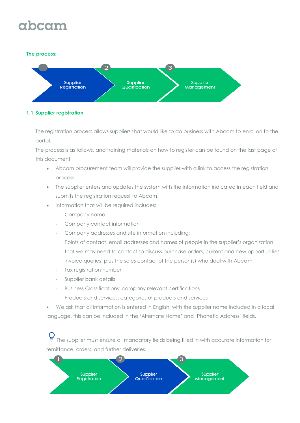# ahcam

#### **The process:**



#### **1.1 Supplier registration**

The registration process allows suppliers that would like to do business with Abcam to enrol on to the portal.

The process is as follows, and training materials on how to register can be found on the last page of this document

- Abcam procurement team will provide the supplier with a link to access the registration process.
- The supplier enters and updates the system with the information indicated in each field and submits the registration request to Abcam.
- Information that will be required includes:
	- Company name
	- Company contact information
	- Company addresses and site information including;
		- Points of contact, email addresses and names of people in the supplier's organization that we may need to contact to discuss purchase orders, current and new opportunities, invoice queries, plus the sales contact of the person(s) who deal with Abcam.
	- Tax registration number
	- Supplier bank details
	- Business Classifications: company relevant certifications
	- Products and services: categories of products and services
- We ask that all information is entered in English, with the supplier name included in a local language, this can be included in the 'Alternate Name' and 'Phonetic Address' fields.

The supplier must ensure all mandatory fields being filled in with accurate information for remittance, orders, and further deliveries.

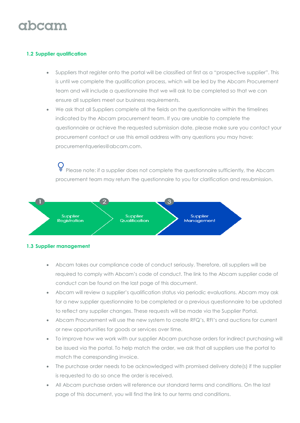#### **1.2 Supplier qualification**

- Suppliers that register onto the portal will be classified at first as a "prospective supplier". This is until we complete the qualification process, which will be led by the Abcam Procurement team and will include a questionnaire that we will ask to be completed so that we can ensure all suppliers meet our business requirements.
- We ask that all Suppliers complete all the fields on the questionnaire within the timelines indicated by the Abcam procurement team. If you are unable to complete the questionnaire or achieve the requested submission date, please make sure you contact your procurement contact or use this email address with any questions you may have: [procurementqueries@abcam.com.](mailto:procurementqueries@abcam.com)

Please note: if a supplier does not complete the questionnaire sufficiently, the Abcam procurement team may return the questionnaire to you for clarification and resubmission.



#### **1.3 Supplier management**

- Abcam takes our compliance code of conduct seriously. Therefore, all suppliers will be required to comply with Abcam's code of conduct. The link to the Abcam supplier code of conduct can be found on the last page of this document.
- Abcam will review a supplier's qualification status via periodic evaluations. Abcam may ask for a new supplier questionnaire to be completed or a previous questionnaire to be updated to reflect any supplier changes. These requests will be made via the Supplier Portal.
- Abcam Procurement will use the new system to create RFQ's, RFI's and auctions for current or new opportunities for goods or services over time.
- To improve how we work with our supplier Abcam purchase orders for indirect purchasing will be issued via the portal. To help match the order, we ask that all suppliers use the portal to match the corresponding invoice.
- The purchase order needs to be acknowledged with promised delivery date(s) if the supplier is requested to do so once the order is received.
- All Abcam purchase orders will reference our standard terms and conditions. On the last page of this document, you will find the link to our terms and conditions.